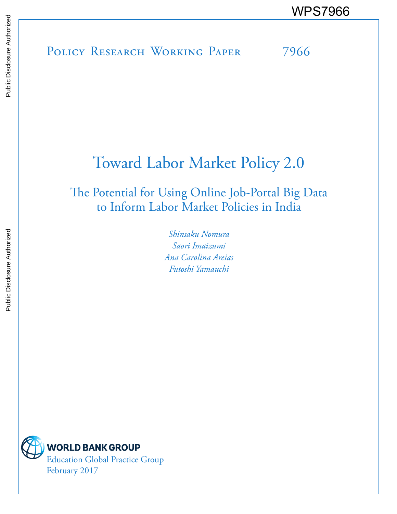POLICY RESEARCH WORKING PAPER 7966 WPS7966

# Toward Labor Market Policy 2.0

## The Potential for Using Online Job-Portal Big Data to Inform Labor Market Policies in India

*Shinsaku Nomura Saori Imaizumi Ana Carolina Areias Futoshi Yamauchi*

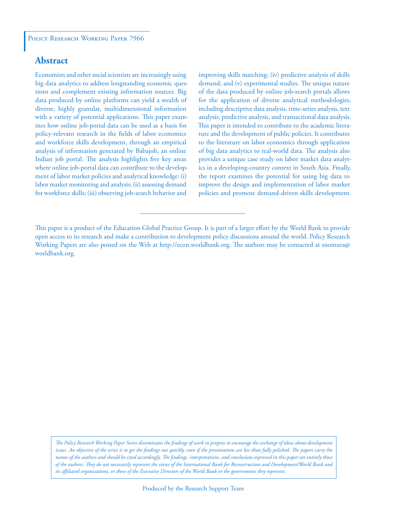### **Abstract**

Economists and other social scientists are increasingly using big data analytics to address longstanding economic questions and complement existing information sources. Big data produced by online platforms can yield a wealth of diverse, highly granular, multidimensional information with a variety of potential applications. This paper examines how online job-portal data can be used as a basis for policy-relevant research in the fields of labor economics and workforce skills development, through an empirical analysis of information generated by Babajob, an online Indian job portal. The analysis highlights five key areas where online job-portal data can contribute to the development of labor market policies and analytical knowledge: (i) labor market monitoring and analysis; (ii) assessing demand for workforce skills; (iii) observing job-search behavior and

improving skills matching; (iv) predictive analysis of skills demand; and (v) experimental studies. The unique nature of the data produced by online job-search portals allows for the application of diverse analytical methodologies, including descriptive data analysis, time-series analysis, text analysis, predictive analysis, and transactional data analysis. This paper is intended to contribute to the academic literature and the development of public policies. It contributes to the literature on labor economics through application of big data analytics to real-world data. The analysis also provides a unique case study on labor market data analytics in a developing-country context in South Asia. Finally, the report examines the potential for using big data to improve the design and implementation of labor market policies and promote demand-driven skills development.

*The Policy Research Working Paper Series disseminates the findings of work in progress to encourage the exchange of ideas about development*  issues. An objective of the series is to get the findings out quickly, even if the presentations are less than fully polished. The papers carry the *names of the authors and should be cited accordingly. The findings, interpretations, and conclusions expressed in this paper are entirely those of the authors. They do not necessarily represent the views of the International Bank for Reconstruction and Development/World Bank and its affiliated organizations, or those of the Executive Directors of the World Bank or the governments they represent.*

This paper is a product of the Education Global Practice Group. It is part of a larger effort by the World Bank to provide open access to its research and make a contribution to development policy discussions around the world. Policy Research Working Papers are also posted on the Web at http://econ.worldbank.org. The authors may be contacted at snomura@ worldbank.org.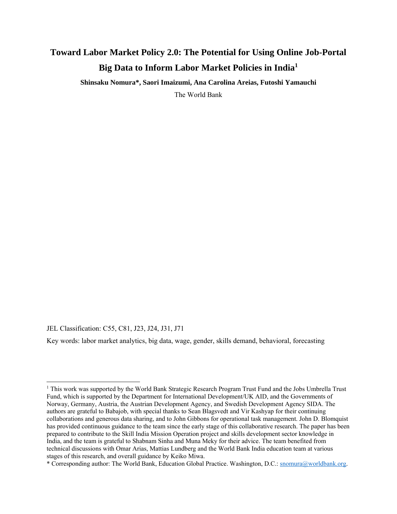### **Toward Labor Market Policy 2.0: The Potential for Using Online Job-Portal Big Data to Inform Labor Market Policies in India<sup>1</sup>**

**Shinsaku Nomura\*, Saori Imaizumi, Ana Carolina Areias, Futoshi Yamauchi**  The World Bank

JEL Classification: C55, C81, J23, J24, J31, J71

Key words: labor market analytics, big data, wage, gender, skills demand, behavioral, forecasting

<sup>&</sup>lt;sup>1</sup> This work was supported by the World Bank Strategic Research Program Trust Fund and the Jobs Umbrella Trust Fund, which is supported by the Department for International Development/UK AID, and the Governments of Norway, Germany, Austria, the Austrian Development Agency, and Swedish Development Agency SIDA. The authors are grateful to Babajob, with special thanks to Sean Blagsvedt and Vir Kashyap for their continuing collaborations and generous data sharing, and to John Gibbons for operational task management. John D. Blomquist has provided continuous guidance to the team since the early stage of this collaborative research. The paper has been prepared to contribute to the Skill India Mission Operation project and skills development sector knowledge in India, and the team is grateful to Shabnam Sinha and Muna Meky for their advice. The team benefited from technical discussions with Omar Arias, Mattias Lundberg and the World Bank India education team at various stages of this research, and overall guidance by Keiko Miwa.

<sup>\*</sup> Corresponding author: The World Bank, Education Global Practice. Washington, D.C.: snomura@worldbank.org.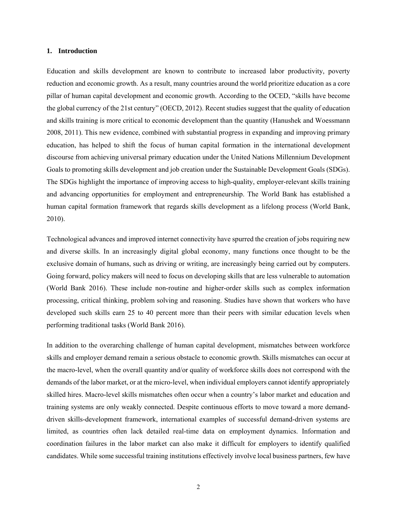#### **1. Introduction**

Education and skills development are known to contribute to increased labor productivity, poverty reduction and economic growth. As a result, many countries around the world prioritize education as a core pillar of human capital development and economic growth. According to the OCED, "skills have become the global currency of the 21st century" (OECD, 2012). Recent studies suggest that the quality of education and skills training is more critical to economic development than the quantity (Hanushek and Woessmann 2008, 2011). This new evidence, combined with substantial progress in expanding and improving primary education, has helped to shift the focus of human capital formation in the international development discourse from achieving universal primary education under the United Nations Millennium Development Goals to promoting skills development and job creation under the Sustainable Development Goals (SDGs). The SDGs highlight the importance of improving access to high-quality, employer-relevant skills training and advancing opportunities for employment and entrepreneurship. The World Bank has established a human capital formation framework that regards skills development as a lifelong process (World Bank, 2010).

Technological advances and improved internet connectivity have spurred the creation of jobs requiring new and diverse skills. In an increasingly digital global economy, many functions once thought to be the exclusive domain of humans, such as driving or writing, are increasingly being carried out by computers. Going forward, policy makers will need to focus on developing skills that are less vulnerable to automation (World Bank 2016). These include non-routine and higher-order skills such as complex information processing, critical thinking, problem solving and reasoning. Studies have shown that workers who have developed such skills earn 25 to 40 percent more than their peers with similar education levels when performing traditional tasks (World Bank 2016).

In addition to the overarching challenge of human capital development, mismatches between workforce skills and employer demand remain a serious obstacle to economic growth. Skills mismatches can occur at the macro-level, when the overall quantity and/or quality of workforce skills does not correspond with the demands of the labor market, or at the micro-level, when individual employers cannot identify appropriately skilled hires. Macro-level skills mismatches often occur when a country's labor market and education and training systems are only weakly connected. Despite continuous efforts to move toward a more demanddriven skills-development framework, international examples of successful demand-driven systems are limited, as countries often lack detailed real-time data on employment dynamics. Information and coordination failures in the labor market can also make it difficult for employers to identify qualified candidates. While some successful training institutions effectively involve local business partners, few have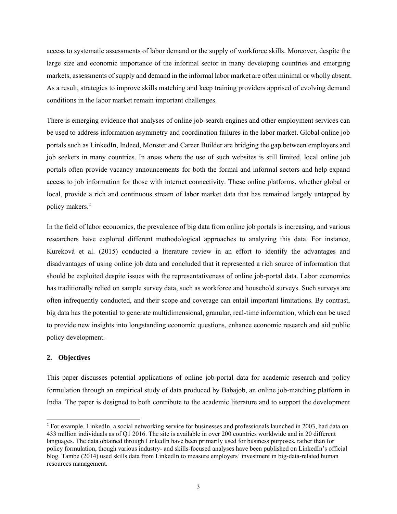access to systematic assessments of labor demand or the supply of workforce skills. Moreover, despite the large size and economic importance of the informal sector in many developing countries and emerging markets, assessments of supply and demand in the informal labor market are often minimal or wholly absent. As a result, strategies to improve skills matching and keep training providers apprised of evolving demand conditions in the labor market remain important challenges.

There is emerging evidence that analyses of online job-search engines and other employment services can be used to address information asymmetry and coordination failures in the labor market. Global online job portals such as LinkedIn, Indeed, Monster and Career Builder are bridging the gap between employers and job seekers in many countries. In areas where the use of such websites is still limited, local online job portals often provide vacancy announcements for both the formal and informal sectors and help expand access to job information for those with internet connectivity. These online platforms, whether global or local, provide a rich and continuous stream of labor market data that has remained largely untapped by policy makers.<sup>2</sup>

In the field of labor economics, the prevalence of big data from online job portals is increasing, and various researchers have explored different methodological approaches to analyzing this data. For instance, Kureková et al. (2015) conducted a literature review in an effort to identify the advantages and disadvantages of using online job data and concluded that it represented a rich source of information that should be exploited despite issues with the representativeness of online job-portal data. Labor economics has traditionally relied on sample survey data, such as workforce and household surveys. Such surveys are often infrequently conducted, and their scope and coverage can entail important limitations. By contrast, big data has the potential to generate multidimensional, granular, real-time information, which can be used to provide new insights into longstanding economic questions, enhance economic research and aid public policy development.

#### **2. Objectives**

l

This paper discusses potential applications of online job-portal data for academic research and policy formulation through an empirical study of data produced by Babajob, an online job-matching platform in India. The paper is designed to both contribute to the academic literature and to support the development

<sup>&</sup>lt;sup>2</sup> For example, LinkedIn, a social networking service for businesses and professionals launched in 2003, had data on 433 million individuals as of Q1 2016. The site is available in over 200 countries worldwide and in 20 different languages. The data obtained through LinkedIn have been primarily used for business purposes, rather than for policy formulation, though various industry- and skills-focused analyses have been published on LinkedIn's official blog. Tambe (2014) used skills data from LinkedIn to measure employers' investment in big-data-related human resources management.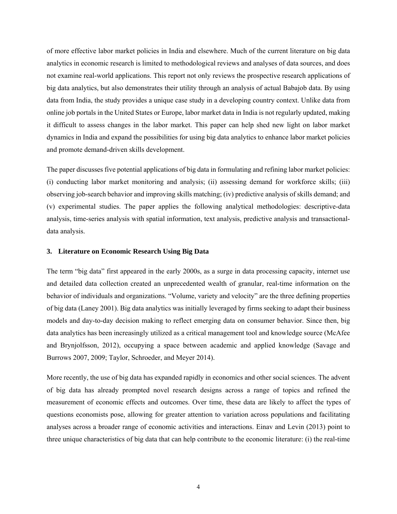of more effective labor market policies in India and elsewhere. Much of the current literature on big data analytics in economic research is limited to methodological reviews and analyses of data sources, and does not examine real-world applications. This report not only reviews the prospective research applications of big data analytics, but also demonstrates their utility through an analysis of actual Babajob data. By using data from India, the study provides a unique case study in a developing country context. Unlike data from online job portals in the United States or Europe, labor market data in India is not regularly updated, making it difficult to assess changes in the labor market. This paper can help shed new light on labor market dynamics in India and expand the possibilities for using big data analytics to enhance labor market policies and promote demand-driven skills development.

The paper discusses five potential applications of big data in formulating and refining labor market policies: (i) conducting labor market monitoring and analysis; (ii) assessing demand for workforce skills; (iii) observing job-search behavior and improving skills matching; (iv) predictive analysis of skills demand; and (v) experimental studies. The paper applies the following analytical methodologies: descriptive-data analysis, time-series analysis with spatial information, text analysis, predictive analysis and transactionaldata analysis.

#### **3. Literature on Economic Research Using Big Data**

The term "big data" first appeared in the early 2000s, as a surge in data processing capacity, internet use and detailed data collection created an unprecedented wealth of granular, real-time information on the behavior of individuals and organizations. "Volume, variety and velocity" are the three defining properties of big data (Laney 2001). Big data analytics was initially leveraged by firms seeking to adapt their business models and day-to-day decision making to reflect emerging data on consumer behavior. Since then, big data analytics has been increasingly utilized as a critical management tool and knowledge source (McAfee and Brynjolfsson, 2012), occupying a space between academic and applied knowledge (Savage and Burrows 2007, 2009; Taylor, Schroeder, and Meyer 2014).

More recently, the use of big data has expanded rapidly in economics and other social sciences. The advent of big data has already prompted novel research designs across a range of topics and refined the measurement of economic effects and outcomes. Over time, these data are likely to affect the types of questions economists pose, allowing for greater attention to variation across populations and facilitating analyses across a broader range of economic activities and interactions. Einav and Levin (2013) point to three unique characteristics of big data that can help contribute to the economic literature: (i) the real-time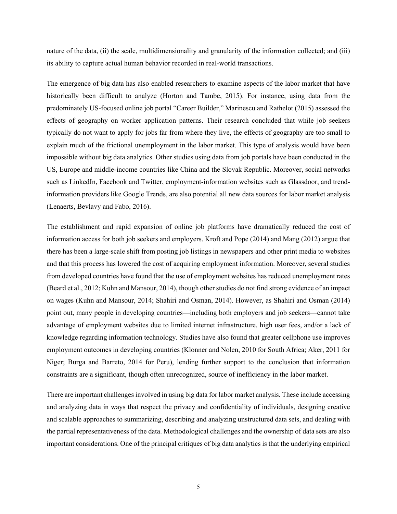nature of the data, (ii) the scale, multidimensionality and granularity of the information collected; and (iii) its ability to capture actual human behavior recorded in real-world transactions.

The emergence of big data has also enabled researchers to examine aspects of the labor market that have historically been difficult to analyze (Horton and Tambe, 2015). For instance, using data from the predominately US-focused online job portal "Career Builder," Marinescu and Rathelot (2015) assessed the effects of geography on worker application patterns. Their research concluded that while job seekers typically do not want to apply for jobs far from where they live, the effects of geography are too small to explain much of the frictional unemployment in the labor market. This type of analysis would have been impossible without big data analytics. Other studies using data from job portals have been conducted in the US, Europe and middle-income countries like China and the Slovak Republic. Moreover, social networks such as LinkedIn, Facebook and Twitter, employment-information websites such as Glassdoor, and trendinformation providers like Google Trends, are also potential all new data sources for labor market analysis (Lenaerts, Bevlavy and Fabo, 2016).

The establishment and rapid expansion of online job platforms have dramatically reduced the cost of information access for both job seekers and employers. Kroft and Pope (2014) and Mang (2012) argue that there has been a large-scale shift from posting job listings in newspapers and other print media to websites and that this process has lowered the cost of acquiring employment information. Moreover, several studies from developed countries have found that the use of employment websites has reduced unemployment rates (Beard et al., 2012; Kuhn and Mansour, 2014), though other studies do not find strong evidence of an impact on wages (Kuhn and Mansour, 2014; Shahiri and Osman, 2014). However, as Shahiri and Osman (2014) point out, many people in developing countries—including both employers and job seekers—cannot take advantage of employment websites due to limited internet infrastructure, high user fees, and/or a lack of knowledge regarding information technology. Studies have also found that greater cellphone use improves employment outcomes in developing countries (Klonner and Nolen, 2010 for South Africa; Aker, 2011 for Niger; Burga and Barreto, 2014 for Peru), lending further support to the conclusion that information constraints are a significant, though often unrecognized, source of inefficiency in the labor market.

There are important challenges involved in using big data for labor market analysis. These include accessing and analyzing data in ways that respect the privacy and confidentiality of individuals, designing creative and scalable approaches to summarizing, describing and analyzing unstructured data sets, and dealing with the partial representativeness of the data. Methodological challenges and the ownership of data sets are also important considerations. One of the principal critiques of big data analytics is that the underlying empirical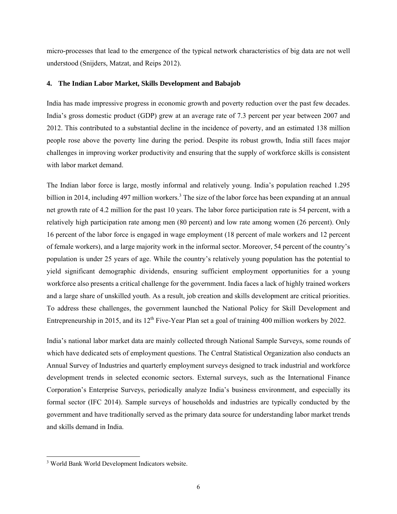micro-processes that lead to the emergence of the typical network characteristics of big data are not well understood (Snijders, Matzat, and Reips 2012).

#### **4. The Indian Labor Market, Skills Development and Babajob**

India has made impressive progress in economic growth and poverty reduction over the past few decades. India's gross domestic product (GDP) grew at an average rate of 7.3 percent per year between 2007 and 2012. This contributed to a substantial decline in the incidence of poverty, and an estimated 138 million people rose above the poverty line during the period. Despite its robust growth, India still faces major challenges in improving worker productivity and ensuring that the supply of workforce skills is consistent with labor market demand.

The Indian labor force is large, mostly informal and relatively young. India's population reached 1.295 billion in 2014, including 497 million workers.<sup>3</sup> The size of the labor force has been expanding at an annual net growth rate of 4.2 million for the past 10 years. The labor force participation rate is 54 percent, with a relatively high participation rate among men (80 percent) and low rate among women (26 percent). Only 16 percent of the labor force is engaged in wage employment (18 percent of male workers and 12 percent of female workers), and a large majority work in the informal sector. Moreover, 54 percent of the country's population is under 25 years of age. While the country's relatively young population has the potential to yield significant demographic dividends, ensuring sufficient employment opportunities for a young workforce also presents a critical challenge for the government. India faces a lack of highly trained workers and a large share of unskilled youth. As a result, job creation and skills development are critical priorities. To address these challenges, the government launched the National Policy for Skill Development and Entrepreneurship in 2015, and its  $12^{th}$  Five-Year Plan set a goal of training 400 million workers by 2022.

India's national labor market data are mainly collected through National Sample Surveys, some rounds of which have dedicated sets of employment questions. The Central Statistical Organization also conducts an Annual Survey of Industries and quarterly employment surveys designed to track industrial and workforce development trends in selected economic sectors. External surveys, such as the International Finance Corporation's Enterprise Surveys, periodically analyze India's business environment, and especially its formal sector (IFC 2014). Sample surveys of households and industries are typically conducted by the government and have traditionally served as the primary data source for understanding labor market trends and skills demand in India.

1

<sup>3</sup> World Bank World Development Indicators website.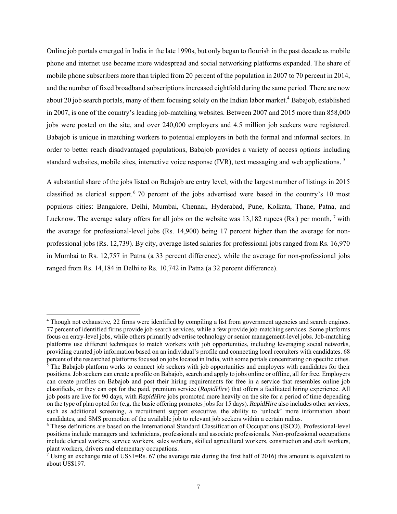Online job portals emerged in India in the late 1990s, but only began to flourish in the past decade as mobile phone and internet use became more widespread and social networking platforms expanded. The share of mobile phone subscribers more than tripled from 20 percent of the population in 2007 to 70 percent in 2014, and the number of fixed broadband subscriptions increased eightfold during the same period. There are now about 20 job search portals, many of them focusing solely on the Indian labor market.<sup>4</sup> Babajob, established in 2007, is one of the country's leading job-matching websites. Between 2007 and 2015 more than 858,000 jobs were posted on the site, and over 240,000 employers and 4.5 million job seekers were registered. Babajob is unique in matching workers to potential employers in both the formal and informal sectors. In order to better reach disadvantaged populations, Babajob provides a variety of access options including standard websites, mobile sites, interactive voice response (IVR), text messaging and web applications.<sup>5</sup>

A substantial share of the jobs listed on Babajob are entry level, with the largest number of listings in 2015 classified as clerical support.<sup>6</sup> 70 percent of the jobs advertised were based in the country's 10 most populous cities: Bangalore, Delhi, Mumbai, Chennai, Hyderabad, Pune, Kolkata, Thane, Patna, and Lucknow. The average salary offers for all jobs on the website was  $13,182$  rupees (Rs.) per month,  $^7$  with the average for professional-level jobs (Rs. 14,900) being 17 percent higher than the average for nonprofessional jobs (Rs. 12,739). By city, average listed salaries for professional jobs ranged from Rs. 16,970 in Mumbai to Rs. 12,757 in Patna (a 33 percent difference), while the average for non-professional jobs ranged from Rs. 14,184 in Delhi to Rs. 10,742 in Patna (a 32 percent difference).

1

<sup>4</sup> Though not exhaustive, 22 firms were identified by compiling a list from government agencies and search engines. 77 percent of identified firms provide job-search services, while a few provide job-matching services. Some platforms focus on entry-level jobs, while others primarily advertise technology or senior management-level jobs. Job-matching platforms use different techniques to match workers with job opportunities, including leveraging social networks, providing curated job information based on an individual's profile and connecting local recruiters with candidates. 68 percent of the researched platforms focused on jobs located in India, with some portals concentrating on specific cities. 5

 $\frac{1}{5}$  The Babajob platform works to connect job seekers with job opportunities and employers with candidates for their positions. Job seekers can create a profile on Babajob, search and apply to jobs online or offline, all for free. Employers can create profiles on Babajob and post their hiring requirements for free in a service that resembles online job classifieds, or they can opt for the paid, premium service (*RapidHire*) that offers a facilitated hiring experience. All job posts are live for 90 days, with *RapidHire* jobs promoted more heavily on the site for a period of time depending on the type of plan opted for (e.g. the basic offering promotes jobs for 15 days). *RapidHire* also includes other services, such as additional screening, a recruitment support executive, the ability to 'unlock' more information about candidates, and SMS promotion of the available job to relevant job seekers within a certain radius.

<sup>6</sup> These definitions are based on the International Standard Classification of Occupations (ISCO). Professional-level positions include managers and technicians, professionals and associate professionals. Non-professional occupations include clerical workers, service workers, sales workers, skilled agricultural workers, construction and craft workers, plant workers, drivers and elementary occupations.

Using an exchange rate of US\$1=Rs. 67 (the average rate during the first half of 2016) this amount is equivalent to about US\$197.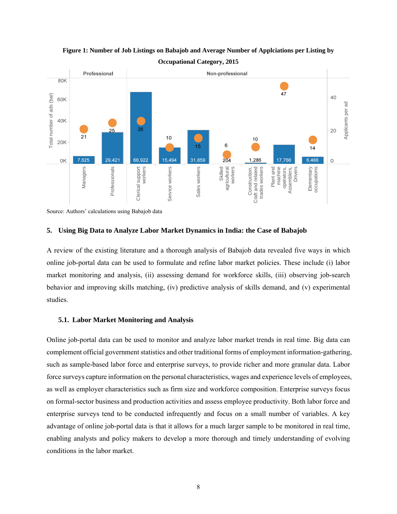

**Figure 1: Number of Job Listings on Babajob and Average Number of Applciations per Listing by Occupational Category, 2015**

Source: Authors' calculations using Babajob data

#### **5. Using Big Data to Analyze Labor Market Dynamics in India: the Case of Babajob**

A review of the existing literature and a thorough analysis of Babajob data revealed five ways in which online job-portal data can be used to formulate and refine labor market policies. These include (i) labor market monitoring and analysis, (ii) assessing demand for workforce skills, (iii) observing job-search behavior and improving skills matching, (iv) predictive analysis of skills demand, and (v) experimental studies.

#### **5.1. Labor Market Monitoring and Analysis**

Online job-portal data can be used to monitor and analyze labor market trends in real time. Big data can complement official government statistics and other traditional forms of employment information-gathering, such as sample-based labor force and enterprise surveys, to provide richer and more granular data. Labor force surveys capture information on the personal characteristics, wages and experience levels of employees, as well as employer characteristics such as firm size and workforce composition. Enterprise surveys focus on formal-sector business and production activities and assess employee productivity. Both labor force and enterprise surveys tend to be conducted infrequently and focus on a small number of variables. A key advantage of online job-portal data is that it allows for a much larger sample to be monitored in real time, enabling analysts and policy makers to develop a more thorough and timely understanding of evolving Example 1<br>
Source: Authors' calculations using B<br>
Source: Authors' calculations using B<br>
5. Using Big Data to Analyz<br>
A review of the existing literat<br>
online job-portal data can be u<br>
market monitoring and analys<br>
behavi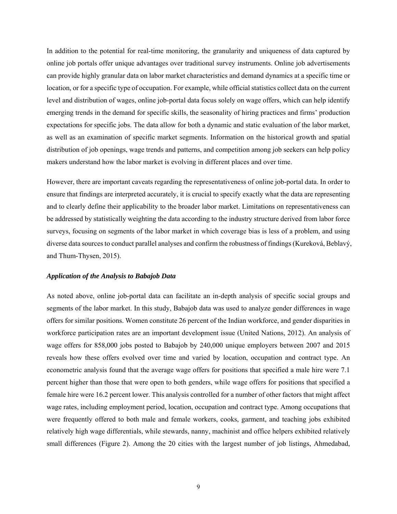In addition to the potential for real-time monitoring, the granularity and uniqueness of data captured by online job portals offer unique advantages over traditional survey instruments. Online job advertisements can provide highly granular data on labor market characteristics and demand dynamics at a specific time or location, or for a specific type of occupation. For example, while official statistics collect data on the current level and distribution of wages, online job-portal data focus solely on wage offers, which can help identify emerging trends in the demand for specific skills, the seasonality of hiring practices and firms' production expectations for specific jobs. The data allow for both a dynamic and static evaluation of the labor market, as well as an examination of specific market segments. Information on the historical growth and spatial distribution of job openings, wage trends and patterns, and competition among job seekers can help policy makers understand how the labor market is evolving in different places and over time.

However, there are important caveats regarding the representativeness of online job-portal data. In order to ensure that findings are interpreted accurately, it is crucial to specify exactly what the data are representing and to clearly define their applicability to the broader labor market. Limitations on representativeness can be addressed by statistically weighting the data according to the industry structure derived from labor force surveys, focusing on segments of the labor market in which coverage bias is less of a problem, and using diverse data sources to conduct parallel analyses and confirm the robustness of findings (Kureková, Beblavý, and Thum-Thysen, 2015).

#### *Application of the Analysis to Babajob Data*

As noted above, online job-portal data can facilitate an in-depth analysis of specific social groups and segments of the labor market. In this study, Babajob data was used to analyze gender differences in wage offers for similar positions. Women constitute 26 percent of the Indian workforce, and gender disparities in workforce participation rates are an important development issue (United Nations, 2012). An analysis of wage offers for 858,000 jobs posted to Babajob by 240,000 unique employers between 2007 and 2015 reveals how these offers evolved over time and varied by location, occupation and contract type. An econometric analysis found that the average wage offers for positions that specified a male hire were 7.1 percent higher than those that were open to both genders, while wage offers for positions that specified a female hire were 16.2 percent lower. This analysis controlled for a number of other factors that might affect wage rates, including employment period, location, occupation and contract type. Among occupations that were frequently offered to both male and female workers, cooks, garment, and teaching jobs exhibited relatively high wage differentials, while stewards, nanny, machinist and office helpers exhibited relatively small differences (Figure 2). Among the 20 cities with the largest number of job listings, Ahmedabad,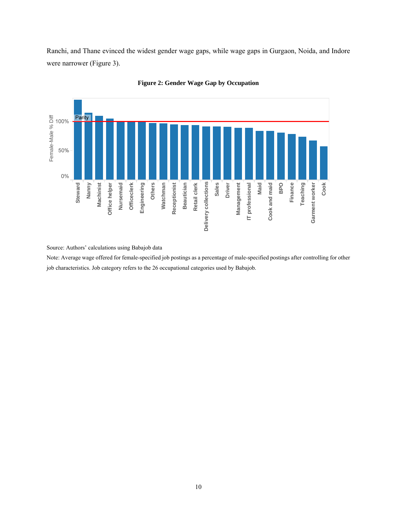Ranchi, and Thane evinced the widest gender wage gaps, while wage gaps in Gurgaon, Noida, and Indore were narrower (Figure 3).





Source: Authors' calculations using Babajob data

Note: Average wage offered for female-specified job postings as a percentage of male-specified postings after controlling for other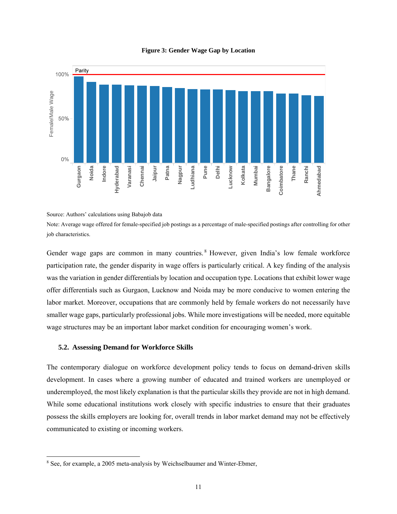

#### **Figure 3: Gender Wage Gap by Location**

Source: Authors' calculations using Babajob data

Note: Average wage offered for female-specified job postings as a percentage of male-specified postings after controlling for other job characteristics.

Gender wage gaps are common in many countries. <sup>8</sup> However, given India's low female workforce participation rate, the gender disparity in wage offers is particularly critical. A key finding of the analysis was the variation in gender differentials by location and occupation type. Locations that exhibit lower wage offer differentials such as Gurgaon, Lucknow and Noida may be more conducive to women entering the labor market. Moreover, occupations that are commonly held by female workers do not necessarily have smaller wage gaps, particularly professional jobs. While more investigations will be needed, more equitable wage structures may be an important labor market condition for encouraging women's work. Earline of the matter same of material is the matter of the matter of the matter of the matter of the matter of the matter of the matter of the matter of the matter of the matter of the matter of the matter of the matter

#### **5.2. Assessing Demand for Workforce Skills**

l

The contemporary dialogue on workforce development policy tends to focus on demand-driven skills development. In cases where a growing number of educated and trained workers are unemployed or underemployed, the most likely explanation is that the particular skills they provide are not in high demand. While some educational institutions work closely with specific industries to ensure that their graduates possess the skills employers are looking for, overall trends in labor market demand may not be effectively communicated to existing or incoming workers.

<sup>&</sup>lt;sup>8</sup> See, for example, a 2005 meta-analysis by Weichselbaumer and Winter-Ebmer,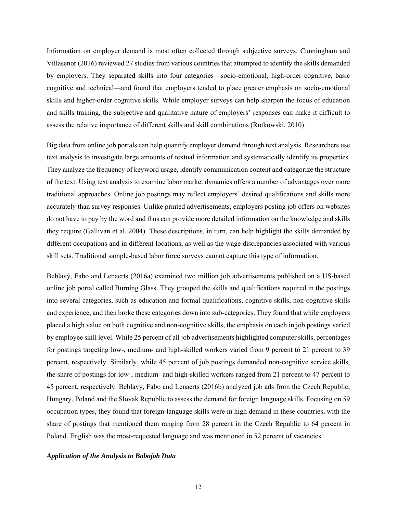Information on employer demand is most often collected through subjective surveys. Cunningham and Villasenor (2016) reviewed 27 studies from various countries that attempted to identify the skills demanded by employers. They separated skills into four categories—socio-emotional, high-order cognitive, basic cognitive and technical—and found that employers tended to place greater emphasis on socio-emotional skills and higher-order cognitive skills. While employer surveys can help sharpen the focus of education and skills training, the subjective and qualitative nature of employers' responses can make it difficult to assess the relative importance of different skills and skill combinations (Rutkowski, 2010).

Big data from online job portals can help quantify employer demand through text analysis. Researchers use text analysis to investigate large amounts of textual information and systematically identify its properties. They analyze the frequency of keyword usage, identify communication content and categorize the structure of the text. Using text analysis to examine labor market dynamics offers a number of advantages over more traditional approaches. Online job postings may reflect employers' desired qualifications and skills more accurately than survey responses. Unlike printed advertisements, employers posting job offers on websites do not have to pay by the word and thus can provide more detailed information on the knowledge and skills they require (Gallivan et al. 2004). These descriptions, in turn, can help highlight the skills demanded by different occupations and in different locations, as well as the wage discrepancies associated with various skill sets. Traditional sample-based labor force surveys cannot capture this type of information.

Beblavý, Fabo and Lenaerts (2016a) examined two million job advertisements published on a US-based online job portal called Burning Glass. They grouped the skills and qualifications required in the postings into several categories, such as education and formal qualifications, cognitive skills, non-cognitive skills and experience, and then broke these categories down into sub-categories. They found that while employers placed a high value on both cognitive and non-cognitive skills, the emphasis on each in job postings varied by employee skill level. While 25 percent of all job advertisements highlighted computer skills, percentages for postings targeting low-, medium- and high-skilled workers varied from 9 percent to 21 percent to 39 percent, respectively. Similarly, while 45 percent of job postings demanded non-cognitive service skills, the share of postings for low-, medium- and high-skilled workers ranged from 21 percent to 47 percent to 45 percent, respectively. Beblavý, Fabo and Lenaerts (2016b) analyzed job ads from the Czech Republic, Hungary, Poland and the Slovak Republic to assess the demand for foreign language skills. Focusing on 59 occupation types, they found that foreign-language skills were in high demand in these countries, with the share of postings that mentioned them ranging from 28 percent in the Czech Republic to 64 percent in Poland. English was the most-requested language and was mentioned in 52 percent of vacancies.

#### *Application of the Analysis to Babajob Data*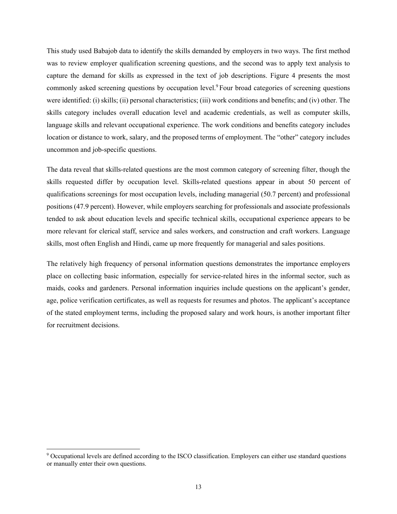This study used Babajob data to identify the skills demanded by employers in two ways. The first method was to review employer qualification screening questions, and the second was to apply text analysis to capture the demand for skills as expressed in the text of job descriptions. Figure 4 presents the most commonly asked screening questions by occupation level.<sup>9</sup> Four broad categories of screening questions were identified: (i) skills; (ii) personal characteristics; (iii) work conditions and benefits; and (iv) other. The skills category includes overall education level and academic credentials, as well as computer skills, language skills and relevant occupational experience. The work conditions and benefits category includes location or distance to work, salary, and the proposed terms of employment. The "other" category includes uncommon and job-specific questions.

The data reveal that skills-related questions are the most common category of screening filter, though the skills requested differ by occupation level. Skills-related questions appear in about 50 percent of qualifications screenings for most occupation levels, including managerial (50.7 percent) and professional positions (47.9 percent). However, while employers searching for professionals and associate professionals tended to ask about education levels and specific technical skills, occupational experience appears to be more relevant for clerical staff, service and sales workers, and construction and craft workers. Language skills, most often English and Hindi, came up more frequently for managerial and sales positions.

The relatively high frequency of personal information questions demonstrates the importance employers place on collecting basic information, especially for service-related hires in the informal sector, such as maids, cooks and gardeners. Personal information inquiries include questions on the applicant's gender, age, police verification certificates, as well as requests for resumes and photos. The applicant's acceptance of the stated employment terms, including the proposed salary and work hours, is another important filter for recruitment decisions.

1

<sup>9</sup> Occupational levels are defined according to the ISCO classification. Employers can either use standard questions or manually enter their own questions.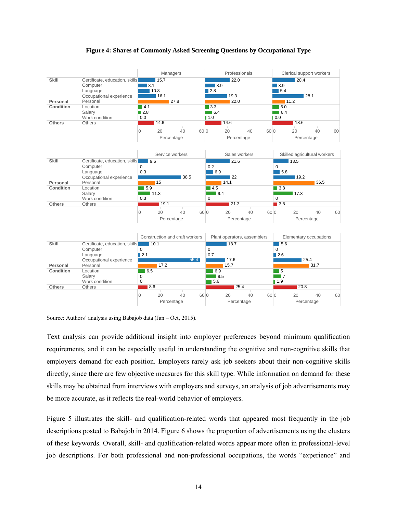

#### **Figure 4: Shares of Commonly Asked Screening Questions by Occupational Type**

Source: Authors' analysis using Babajob data (Jan – Oct, 2015).

Text analysis can provide additional insight into employer preferences beyond minimum qualification requirements, and it can be especially useful in understanding the cognitive and non-cognitive skills that employers demand for each position. Employers rarely ask job seekers about their non-cognitive skills directly, since there are few objective measures for this skill type. While information on demand for these skills may be obtained from interviews with employers and surveys, an analysis of job advertisements may be more accurate, as it reflects the real-world behavior of employers.

Figure 5 illustrates the skill- and qualification-related words that appeared most frequently in the job descriptions posted to Babajob in 2014. Figure 6 shows the proportion of advertisements using the clusters of these keywords. Overall, skill- and qualification-related words appear more often in professional-level job descriptions. For both professional and non-professional occupations, the words "experience" and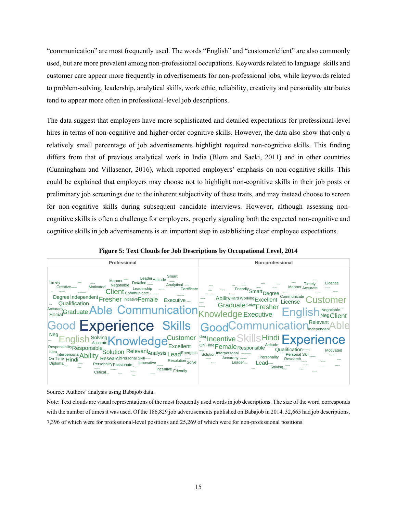"communication" are most frequently used. The words "English" and "customer/client" are also commonly used, but are more prevalent among non-professional occupations. Keywords related to language skills and customer care appear more frequently in advertisements for non-professional jobs, while keywords related to problem-solving, leadership, analytical skills, work ethic, reliability, creativity and personality attributes tend to appear more often in professional-level job descriptions.

The data suggest that employers have more sophisticated and detailed expectations for professional-level hires in terms of non-cognitive and higher-order cognitive skills. However, the data also show that only a relatively small percentage of job advertisements highlight required non-cognitive skills. This finding differs from that of previous analytical work in India (Blom and Saeki, 2011) and in other countries (Cunningham and Villasenor, 2016), which reported employers' emphasis on non-cognitive skills. This could be explained that employers may choose not to highlight non-cognitive skills in their job posts or preliminary job screenings due to the inherent subjectivity of these traits, and may instead choose to screen for non-cognitive skills during subsequent candidate interviews. However, although assessing noncognitive skills is often a challenge for employers, properly signaling both the expected non-cognitive and cognitive skills in job advertisements is an important step in establishing clear employee expectations.



**Figure 5: Text Clouds for Job Descriptions by Occupational Level, 2014** 

Source: Authors' analysis using Babajob data.

Note: Text clouds are visual representations of the most frequently used words in job descriptions. The size of the word corresponds with the number of times it was used. Of the 186,829 job advertisements published on Babajob in 2014, 32,665 had job descriptions, 7,396 of which were for professional-level positions and 25,269 of which were for non-professional positions.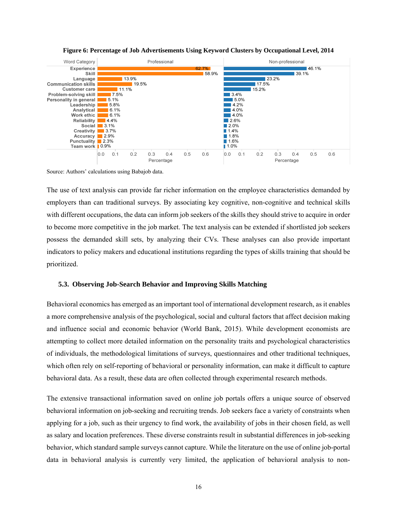

**Figure 6: Percentage of Job Advertisements Using Keyword Clusters by Occupational Level, 2014** 

Source: Authors' calculations using Babajob data.

The use of text analysis can provide far richer information on the employee characteristics demanded by employers than can traditional surveys. By associating key cognitive, non-cognitive and technical skills with different occupations, the data can inform job seekers of the skills they should strive to acquire in order to become more competitive in the job market. The text analysis can be extended if shortlisted job seekers possess the demanded skill sets, by analyzing their CVs. These analyses can also provide important indicators to policy makers and educational institutions regarding the types of skills training that should be prioritized.

#### **5.3. Observing Job-Search Behavior and Improving Skills Matching**

Behavioral economics has emerged as an important tool of international development research, as it enables a more comprehensive analysis of the psychological, social and cultural factors that affect decision making and influence social and economic behavior (World Bank, 2015). While development economists are attempting to collect more detailed information on the personality traits and psychological characteristics of individuals, the methodological limitations of surveys, questionnaires and other traditional techniques, which often rely on self-reporting of behavioral or personality information, can make it difficult to capture behavioral data. As a result, these data are often collected through experimental research methods.

The extensive transactional information saved on online job portals offers a unique source of observed behavioral information on job-seeking and recruiting trends. Job seekers face a variety of constraints when applying for a job, such as their urgency to find work, the availability of jobs in their chosen field, as well as salary and location preferences. These diverse constraints result in substantial differences in job-seeking behavior, which standard sample surveys cannot capture. While the literature on the use of online job-portal data in behavioral analysis is currently very limited, the application of behavioral analysis to non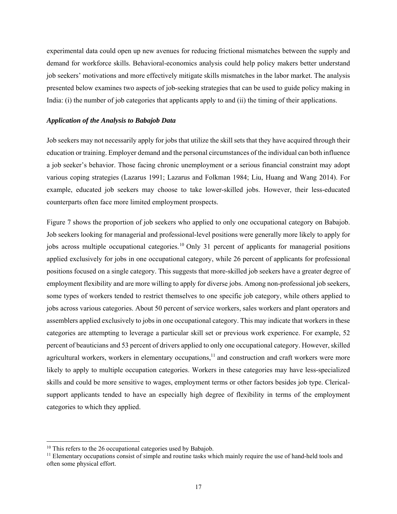experimental data could open up new avenues for reducing frictional mismatches between the supply and demand for workforce skills. Behavioral-economics analysis could help policy makers better understand job seekers' motivations and more effectively mitigate skills mismatches in the labor market. The analysis presented below examines two aspects of job-seeking strategies that can be used to guide policy making in India: (i) the number of job categories that applicants apply to and (ii) the timing of their applications.

#### *Application of the Analysis to Babajob Data*

Job seekers may not necessarily apply for jobs that utilize the skill sets that they have acquired through their education or training. Employer demand and the personal circumstances of the individual can both influence a job seeker's behavior. Those facing chronic unemployment or a serious financial constraint may adopt various coping strategies (Lazarus 1991; Lazarus and Folkman 1984; Liu, Huang and Wang 2014). For example, educated job seekers may choose to take lower-skilled jobs. However, their less-educated counterparts often face more limited employment prospects.

Figure 7 shows the proportion of job seekers who applied to only one occupational category on Babajob. Job seekers looking for managerial and professional-level positions were generally more likely to apply for jobs across multiple occupational categories.<sup>10</sup> Only 31 percent of applicants for managerial positions applied exclusively for jobs in one occupational category, while 26 percent of applicants for professional positions focused on a single category. This suggests that more-skilled job seekers have a greater degree of employment flexibility and are more willing to apply for diverse jobs. Among non-professional job seekers, some types of workers tended to restrict themselves to one specific job category, while others applied to jobs across various categories. About 50 percent of service workers, sales workers and plant operators and assemblers applied exclusively to jobs in one occupational category. This may indicate that workers in these categories are attempting to leverage a particular skill set or previous work experience. For example, 52 percent of beauticians and 53 percent of drivers applied to only one occupational category. However, skilled agricultural workers, workers in elementary occupations, $11$  and construction and craft workers were more likely to apply to multiple occupation categories. Workers in these categories may have less-specialized skills and could be more sensitive to wages, employment terms or other factors besides job type. Clericalsupport applicants tended to have an especially high degree of flexibility in terms of the employment categories to which they applied.

1

<sup>&</sup>lt;sup>10</sup> This refers to the 26 occupational categories used by Babajob.

<sup>&</sup>lt;sup>11</sup> Elementary occupations consist of simple and routine tasks which mainly require the use of hand-held tools and often some physical effort.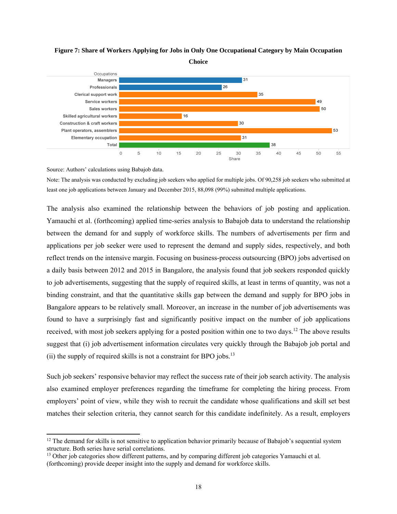

#### **Figure 7: Share of Workers Applying for Jobs in Only One Occupational Category by Main Occupation**

**Choice** 

Source: Authors' calculations using Babajob data.

l

Note: The analysis was conducted by excluding job seekers who applied for multiple jobs. Of 90,258 job seekers who submitted at least one job applications between January and December 2015, 88,098 (99%) submitted multiple applications.

The analysis also examined the relationship between the behaviors of job posting and application. Yamauchi et al. (forthcoming) applied time-series analysis to Babajob data to understand the relationship between the demand for and supply of workforce skills. The numbers of advertisements per firm and applications per job seeker were used to represent the demand and supply sides, respectively, and both reflect trends on the intensive margin. Focusing on business-process outsourcing (BPO) jobs advertised on a daily basis between 2012 and 2015 in Bangalore, the analysis found that job seekers responded quickly to job advertisements, suggesting that the supply of required skills, at least in terms of quantity, was not a binding constraint, and that the quantitative skills gap between the demand and supply for BPO jobs in Bangalore appears to be relatively small. Moreover, an increase in the number of job advertisements was found to have a surprisingly fast and significantly positive impact on the number of job applications received, with most job seekers applying for a posted position within one to two days.<sup>12</sup> The above results suggest that (i) job advertisement information circulates very quickly through the Babajob job portal and (ii) the supply of required skills is not a constraint for BPO jobs.<sup>13</sup>

Such job seekers' responsive behavior may reflect the success rate of their job search activity. The analysis also examined employer preferences regarding the timeframe for completing the hiring process. From employers' point of view, while they wish to recruit the candidate whose qualifications and skill set best matches their selection criteria, they cannot search for this candidate indefinitely. As a result, employers

 $12$  The demand for skills is not sensitive to application behavior primarily because of Babajob's sequential system structure. Both series have serial correlations.<br><sup>13</sup> Other job categories show different patterns, and by comparing different job categories Yamauchi et al.

<sup>(</sup>forthcoming) provide deeper insight into the supply and demand for workforce skills.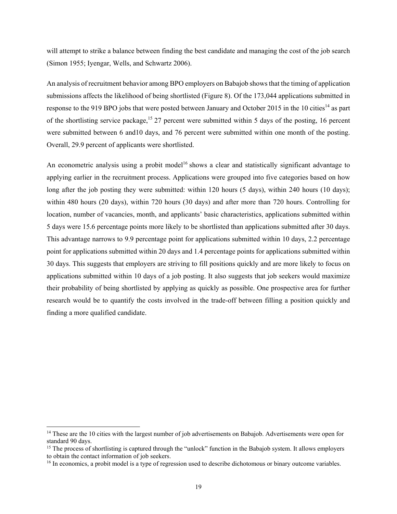will attempt to strike a balance between finding the best candidate and managing the cost of the job search (Simon 1955; Iyengar, Wells, and Schwartz 2006).

An analysis of recruitment behavior among BPO employers on Babajob shows that the timing of application submissions affects the likelihood of being shortlisted (Figure 8). Of the 173,044 applications submitted in response to the 919 BPO jobs that were posted between January and October 2015 in the 10 cities<sup>14</sup> as part of the shortlisting service package,<sup>15</sup> 27 percent were submitted within 5 days of the posting, 16 percent were submitted between 6 and10 days, and 76 percent were submitted within one month of the posting. Overall, 29.9 percent of applicants were shortlisted.

An econometric analysis using a probit model<sup>16</sup> shows a clear and statistically significant advantage to applying earlier in the recruitment process. Applications were grouped into five categories based on how long after the job posting they were submitted: within 120 hours (5 days), within 240 hours (10 days); within 480 hours (20 days), within 720 hours (30 days) and after more than 720 hours. Controlling for location, number of vacancies, month, and applicants' basic characteristics, applications submitted within 5 days were 15.6 percentage points more likely to be shortlisted than applications submitted after 30 days. This advantage narrows to 9.9 percentage point for applications submitted within 10 days, 2.2 percentage point for applications submitted within 20 days and 1.4 percentage points for applications submitted within 30 days. This suggests that employers are striving to fill positions quickly and are more likely to focus on applications submitted within 10 days of a job posting. It also suggests that job seekers would maximize their probability of being shortlisted by applying as quickly as possible. One prospective area for further research would be to quantify the costs involved in the trade-off between filling a position quickly and finding a more qualified candidate.

l

<sup>&</sup>lt;sup>14</sup> These are the 10 cities with the largest number of job advertisements on Babajob. Advertisements were open for standard 90 days.

<sup>&</sup>lt;sup>15</sup> The process of shortlisting is captured through the "unlock" function in the Babajob system. It allows employers to obtain the contact information of job seekers.

<sup>&</sup>lt;sup>16</sup> In economics, a probit model is a type of regression used to describe dichotomous or binary outcome variables.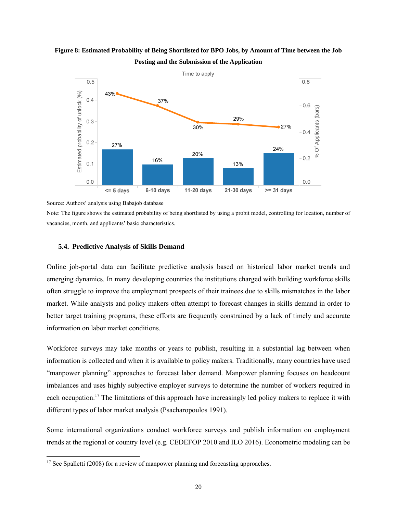#### **Figure 8: Estimated Probability of Being Shortlisted for BPO Jobs, by Amount of Time between the Job Posting and the Submission of the Application**



Source: Authors' analysis using Babajob database

Note: The figure shows the estimated probability of being shortlisted by using a probit model, controlling for location, number of vacancies, month, and applicants' basic characteristics.

#### **5.4. Predictive Analysis of Skills Demand**

Online job-portal data can facilitate predictive analysis based on historical labor market trends and emerging dynamics. In many developing countries the institutions charged with building workforce skills often struggle to improve the employment prospects of their trainees due to skills mismatches in the labor market. While analysts and policy makers often attempt to forecast changes in skills demand in order to better target training programs, these efforts are frequently constrained by a lack of timely and accurate information on labor market conditions.

Workforce surveys may take months or years to publish, resulting in a substantial lag between when information is collected and when it is available to policy makers. Traditionally, many countries have used "manpower planning" approaches to forecast labor demand. Manpower planning focuses on headcount imbalances and uses highly subjective employer surveys to determine the number of workers required in each occupation.<sup>17</sup> The limitations of this approach have increasingly led policy makers to replace it with different types of labor market analysis (Psacharopoulos 1991).

Some international organizations conduct workforce surveys and publish information on employment trends at the regional or country level (e.g. CEDEFOP 2010 and ILO 2016). Econometric modeling can be

l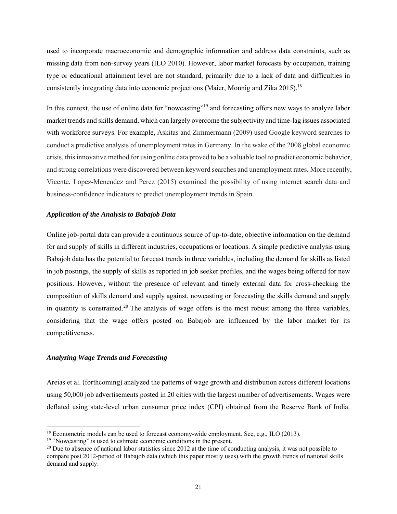used to incorporate macroeconomic and demographic information and address data constraints, such as missing data from non-survey years (ILO 2010). However, labor market forecasts by occupation, training type or educational attainment level are not standard, primarily due to a lack of data and difficulties in consistently integrating data into economic projections (Maier, Monnig and Zika 2015).<sup>18</sup>

In this context, the use of online data for "nowcasting"<sup>19</sup> and forecasting offers new ways to analyze labor market trends and skills demand, which can largely overcome the subjectivity and time-lag issues associated with workforce surveys. For example, Askitas and Zimmermann (2009) used Google keyword searches to conduct a predictive analysis of unemployment rates in Germany. In the wake of the 2008 global economic crisis, this innovative method for using online data proved to be a valuable tool to predict economic behavior, and strong correlations were discovered between keyword searches and unemployment rates. More recently, Vicente, Lopez-Menendez and Perez (2015) examined the possibility of using internet search data and business-confidence indicators to predict unemployment trends in Spain.

#### *Application of the Analysis to Babajob Data*

Online job-portal data can provide a continuous source of up-to-date, objective information on the demand for and supply of skills in different industries, occupations or locations. A simple predictive analysis using Babajob data has the potential to forecast trends in three variables, including the demand for skills as listed in job postings, the supply of skills as reported in job seeker profiles, and the wages being offered for new positions. However, without the presence of relevant and timely external data for cross-checking the composition of skills demand and supply against, nowcasting or forecasting the skills demand and supply in quantity is constrained.<sup>20</sup> The analysis of wage offers is the most robust among the three variables, considering that the wage offers posted on Babajob are influenced by the labor market for its competitiveness.

#### *Analyzing Wage Trends and Forecasting*

l

Areias et al. (forthcoming) analyzed the patterns of wage growth and distribution across different locations using 50,000 job advertisements posted in 20 cities with the largest number of advertisements. Wages were deflated using state-level urban consumer price index (CPI) obtained from the Reserve Bank of India.

<sup>&</sup>lt;sup>18</sup> Econometric models can be used to forecast economy-wide employment. See, e.g., ILO (2013). <sup>19</sup> "Nowcasting" is used to estimate economic conditions in the present.

<sup>&</sup>lt;sup>20</sup> Due to absence of national labor statistics since 2012 at the time of conducting analysis, it was not possible to compare post 2012-period of Babajob data (which this paper mostly uses) with the growth trends of national skills demand and supply.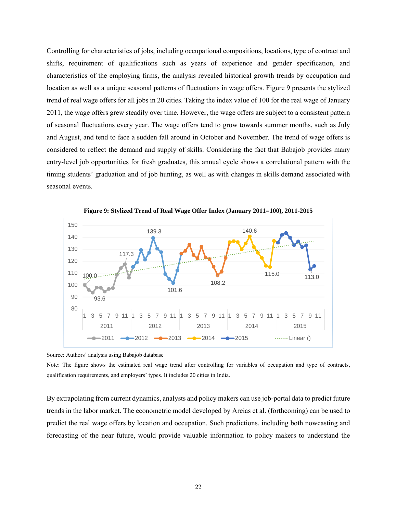Controlling for characteristics of jobs, including occupational compositions, locations, type of contract and shifts, requirement of qualifications such as years of experience and gender specification, and characteristics of the employing firms, the analysis revealed historical growth trends by occupation and location as well as a unique seasonal patterns of fluctuations in wage offers. Figure 9 presents the stylized trend of real wage offers for all jobs in 20 cities. Taking the index value of 100 for the real wage of January 2011, the wage offers grew steadily over time. However, the wage offers are subject to a consistent pattern of seasonal fluctuations every year. The wage offers tend to grow towards summer months, such as July and August, and tend to face a sudden fall around in October and November. The trend of wage offers is considered to reflect the demand and supply of skills. Considering the fact that Babajob provides many entry-level job opportunities for fresh graduates, this annual cycle shows a correlational pattern with the timing students' graduation and of job hunting, as well as with changes in skills demand associated with seasonal events.



**Figure 9: Stylized Trend of Real Wage Offer Index (January 2011=100), 2011-2015** 

Source: Authors' analysis using Babajob database

Note: The figure shows the estimated real wage trend after controlling for variables of occupation and type of contracts, qualification requirements, and employers' types. It includes 20 cities in India.

By extrapolating from current dynamics, analysts and policy makers can use job-portal data to predict future trends in the labor market. The econometric model developed by Areias et al. (forthcoming) can be used to predict the real wage offers by location and occupation. Such predictions, including both nowcasting and forecasting of the near future, would provide valuable information to policy makers to understand the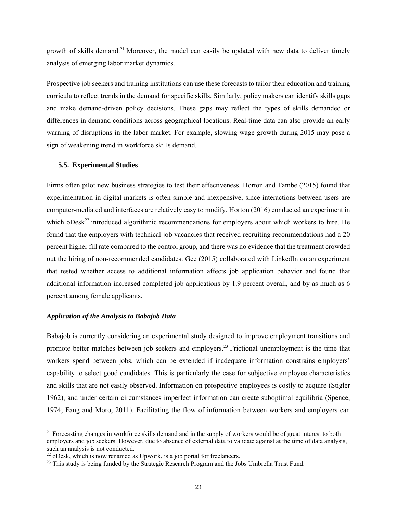growth of skills demand.<sup>21</sup> Moreover, the model can easily be updated with new data to deliver timely analysis of emerging labor market dynamics.

Prospective job seekers and training institutions can use these forecasts to tailor their education and training curricula to reflect trends in the demand for specific skills. Similarly, policy makers can identify skills gaps and make demand-driven policy decisions. These gaps may reflect the types of skills demanded or differences in demand conditions across geographical locations. Real-time data can also provide an early warning of disruptions in the labor market. For example, slowing wage growth during 2015 may pose a sign of weakening trend in workforce skills demand.

#### **5.5. Experimental Studies**

Firms often pilot new business strategies to test their effectiveness. Horton and Tambe (2015) found that experimentation in digital markets is often simple and inexpensive, since interactions between users are computer-mediated and interfaces are relatively easy to modify. Horton (2016) conducted an experiment in which  $oDesk<sup>22</sup>$  introduced algorithmic recommendations for employers about which workers to hire. He found that the employers with technical job vacancies that received recruiting recommendations had a 20 percent higher fill rate compared to the control group, and there was no evidence that the treatment crowded out the hiring of non-recommended candidates. Gee (2015) collaborated with LinkedIn on an experiment that tested whether access to additional information affects job application behavior and found that additional information increased completed job applications by 1.9 percent overall, and by as much as 6 percent among female applicants.

#### *Application of the Analysis to Babajob Data*

1

Babajob is currently considering an experimental study designed to improve employment transitions and promote better matches between job seekers and employers.<sup>23</sup> Frictional unemployment is the time that workers spend between jobs, which can be extended if inadequate information constrains employers' capability to select good candidates. This is particularly the case for subjective employee characteristics and skills that are not easily observed. Information on prospective employees is costly to acquire (Stigler 1962), and under certain circumstances imperfect information can create suboptimal equilibria (Spence, 1974; Fang and Moro, 2011). Facilitating the flow of information between workers and employers can

<sup>&</sup>lt;sup>21</sup> Forecasting changes in workforce skills demand and in the supply of workers would be of great interest to both employers and job seekers. However, due to absence of external data to validate against at the time of data analysis, such an analysis is not conducted.<br><sup>22</sup> oDesk, which is now renamed as Upwork, is a job portal for freelancers.

<sup>&</sup>lt;sup>23</sup> This study is being funded by the Strategic Research Program and the Jobs Umbrella Trust Fund.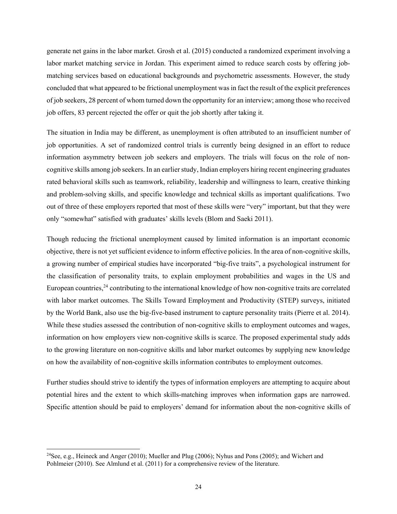generate net gains in the labor market. Grosh et al. (2015) conducted a randomized experiment involving a labor market matching service in Jordan. This experiment aimed to reduce search costs by offering jobmatching services based on educational backgrounds and psychometric assessments. However, the study concluded that what appeared to be frictional unemployment was in fact the result of the explicit preferences of job seekers, 28 percent of whom turned down the opportunity for an interview; among those who received job offers, 83 percent rejected the offer or quit the job shortly after taking it.

The situation in India may be different, as unemployment is often attributed to an insufficient number of job opportunities. A set of randomized control trials is currently being designed in an effort to reduce information asymmetry between job seekers and employers. The trials will focus on the role of noncognitive skills among job seekers. In an earlier study, Indian employers hiring recent engineering graduates rated behavioral skills such as teamwork, reliability, leadership and willingness to learn, creative thinking and problem-solving skills, and specific knowledge and technical skills as important qualifications. Two out of three of these employers reported that most of these skills were "very" important, but that they were only "somewhat" satisfied with graduates' skills levels (Blom and Saeki 2011).

Though reducing the frictional unemployment caused by limited information is an important economic objective, there is not yet sufficient evidence to inform effective policies. In the area of non-cognitive skills, a growing number of empirical studies have incorporated "big-five traits", a psychological instrument for the classification of personality traits, to explain employment probabilities and wages in the US and European countries,<sup>24</sup> contributing to the international knowledge of how non-cognitive traits are correlated with labor market outcomes. The Skills Toward Employment and Productivity (STEP) surveys, initiated by the World Bank, also use the big-five-based instrument to capture personality traits (Pierre et al. 2014). While these studies assessed the contribution of non-cognitive skills to employment outcomes and wages, information on how employers view non-cognitive skills is scarce. The proposed experimental study adds to the growing literature on non-cognitive skills and labor market outcomes by supplying new knowledge on how the availability of non-cognitive skills information contributes to employment outcomes.

Further studies should strive to identify the types of information employers are attempting to acquire about potential hires and the extent to which skills-matching improves when information gaps are narrowed. Specific attention should be paid to employers' demand for information about the non-cognitive skills of

l

<sup>24</sup>See, e.g., Heineck and Anger (2010); Mueller and Plug (2006); Nyhus and Pons (2005); and Wichert and Pohlmeier (2010). See Almlund et al. (2011) for a comprehensive review of the literature.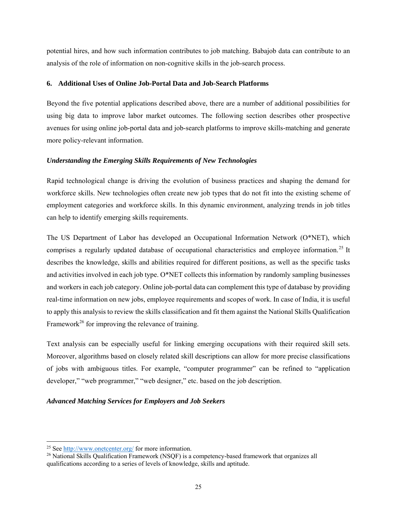potential hires, and how such information contributes to job matching. Babajob data can contribute to an analysis of the role of information on non-cognitive skills in the job-search process.

#### **6. Additional Uses of Online Job-Portal Data and Job-Search Platforms**

Beyond the five potential applications described above, there are a number of additional possibilities for using big data to improve labor market outcomes. The following section describes other prospective avenues for using online job-portal data and job-search platforms to improve skills-matching and generate more policy-relevant information.

#### *Understanding the Emerging Skills Requirements of New Technologies*

Rapid technological change is driving the evolution of business practices and shaping the demand for workforce skills. New technologies often create new job types that do not fit into the existing scheme of employment categories and workforce skills. In this dynamic environment, analyzing trends in job titles can help to identify emerging skills requirements.

The US Department of Labor has developed an Occupational Information Network (O\*NET), which comprises a regularly updated database of occupational characteristics and employee information.<sup>25</sup> It describes the knowledge, skills and abilities required for different positions, as well as the specific tasks and activities involved in each job type. O\*NET collects this information by randomly sampling businesses and workers in each job category. Online job-portal data can complement this type of database by providing real-time information on new jobs, employee requirements and scopes of work. In case of India, it is useful to apply this analysis to review the skills classification and fit them against the National Skills Qualification Framework<sup>26</sup> for improving the relevance of training.

Text analysis can be especially useful for linking emerging occupations with their required skill sets. Moreover, algorithms based on closely related skill descriptions can allow for more precise classifications of jobs with ambiguous titles. For example, "computer programmer" can be refined to "application developer," "web programmer," "web designer," etc. based on the job description.

#### *Advanced Matching Services for Employers and Job Seekers*

1

<sup>&</sup>lt;sup>25</sup> See  $\frac{http://www.onetcenter.org/}{http://www.onetcenter.org/}$  for more information.<br><sup>26</sup> National Skills Qualification Framework (NSQF) is a competency-based framework that organizes all qualifications according to a series of levels of knowledge, skills and aptitude.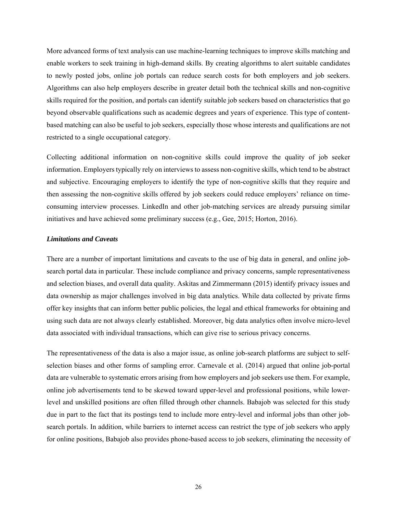More advanced forms of text analysis can use machine-learning techniques to improve skills matching and enable workers to seek training in high-demand skills. By creating algorithms to alert suitable candidates to newly posted jobs, online job portals can reduce search costs for both employers and job seekers. Algorithms can also help employers describe in greater detail both the technical skills and non-cognitive skills required for the position, and portals can identify suitable job seekers based on characteristics that go beyond observable qualifications such as academic degrees and years of experience. This type of contentbased matching can also be useful to job seekers, especially those whose interests and qualifications are not restricted to a single occupational category.

Collecting additional information on non-cognitive skills could improve the quality of job seeker information. Employers typically rely on interviews to assess non-cognitive skills, which tend to be abstract and subjective. Encouraging employers to identify the type of non-cognitive skills that they require and then assessing the non-cognitive skills offered by job seekers could reduce employers' reliance on timeconsuming interview processes. LinkedIn and other job-matching services are already pursuing similar initiatives and have achieved some preliminary success (e.g., Gee, 2015; Horton, 2016).

#### *Limitations and Caveats*

There are a number of important limitations and caveats to the use of big data in general, and online jobsearch portal data in particular. These include compliance and privacy concerns, sample representativeness and selection biases, and overall data quality. Askitas and Zimmermann (2015) identify privacy issues and data ownership as major challenges involved in big data analytics. While data collected by private firms offer key insights that can inform better public policies, the legal and ethical frameworks for obtaining and using such data are not always clearly established. Moreover, big data analytics often involve micro-level data associated with individual transactions, which can give rise to serious privacy concerns.

The representativeness of the data is also a major issue, as online job-search platforms are subject to selfselection biases and other forms of sampling error. Carnevale et al. (2014) argued that online job-portal data are vulnerable to systematic errors arising from how employers and job seekers use them. For example, online job advertisements tend to be skewed toward upper-level and professional positions, while lowerlevel and unskilled positions are often filled through other channels. Babajob was selected for this study due in part to the fact that its postings tend to include more entry-level and informal jobs than other jobsearch portals. In addition, while barriers to internet access can restrict the type of job seekers who apply for online positions, Babajob also provides phone-based access to job seekers, eliminating the necessity of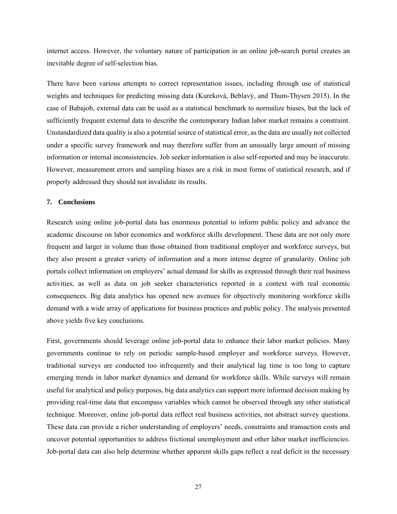internet access. However, the voluntary nature of participation in an online job-search portal creates an inevitable degree of self-selection bias.

There have been various attempts to correct representation issues, including through use of statistical weights and techniques for predicting missing data (Kureková, Beblavý, and Thum-Thysen 2015). In the case of Babajob, external data can be used as a statistical benchmark to normalize biases, but the lack of sufficiently frequent external data to describe the contemporary Indian labor market remains a constraint. Unstandardized data quality is also a potential source of statistical error, as the data are usually not collected under a specific survey framework and may therefore suffer from an unusually large amount of missing information or internal inconsistencies. Job seeker information is also self-reported and may be inaccurate. However, measurement errors and sampling biases are a risk in most forms of statistical research, and if properly addressed they should not invalidate its results.

#### **7. Conclusions**

Research using online job-portal data has enormous potential to inform public policy and advance the academic discourse on labor economics and workforce skills development. These data are not only more frequent and larger in volume than those obtained from traditional employer and workforce surveys, but they also present a greater variety of information and a more intense degree of granularity. Online job portals collect information on employers' actual demand for skills as expressed through their real business activities, as well as data on job seeker characteristics reported in a context with real economic consequences. Big data analytics has opened new avenues for objectively monitoring workforce skills demand with a wide array of applications for business practices and public policy. The analysis presented above yields five key conclusions.

First, governments should leverage online job-portal data to enhance their labor market policies. Many governments continue to rely on periodic sample-based employer and workforce surveys. However, traditional surveys are conducted too infrequently and their analytical lag time is too long to capture emerging trends in labor market dynamics and demand for workforce skills. While surveys will remain useful for analytical and policy purposes, big data analytics can support more informed decision making by providing real-time data that encompass variables which cannot be observed through any other statistical technique. Moreover, online job-portal data reflect real business activities, not abstract survey questions. These data can provide a richer understanding of employers' needs, constraints and transaction costs and uncover potential opportunities to address frictional unemployment and other labor market inefficiencies. Job-portal data can also help determine whether apparent skills gaps reflect a real deficit in the necessary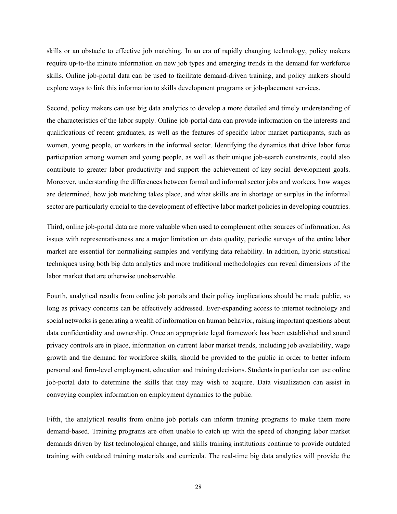skills or an obstacle to effective job matching. In an era of rapidly changing technology, policy makers require up-to-the minute information on new job types and emerging trends in the demand for workforce skills. Online job-portal data can be used to facilitate demand-driven training, and policy makers should explore ways to link this information to skills development programs or job-placement services.

Second, policy makers can use big data analytics to develop a more detailed and timely understanding of the characteristics of the labor supply. Online job-portal data can provide information on the interests and qualifications of recent graduates, as well as the features of specific labor market participants, such as women, young people, or workers in the informal sector. Identifying the dynamics that drive labor force participation among women and young people, as well as their unique job-search constraints, could also contribute to greater labor productivity and support the achievement of key social development goals. Moreover, understanding the differences between formal and informal sector jobs and workers, how wages are determined, how job matching takes place, and what skills are in shortage or surplus in the informal sector are particularly crucial to the development of effective labor market policies in developing countries.

Third, online job-portal data are more valuable when used to complement other sources of information. As issues with representativeness are a major limitation on data quality, periodic surveys of the entire labor market are essential for normalizing samples and verifying data reliability. In addition, hybrid statistical techniques using both big data analytics and more traditional methodologies can reveal dimensions of the labor market that are otherwise unobservable.

Fourth, analytical results from online job portals and their policy implications should be made public, so long as privacy concerns can be effectively addressed. Ever-expanding access to internet technology and social networks is generating a wealth of information on human behavior, raising important questions about data confidentiality and ownership. Once an appropriate legal framework has been established and sound privacy controls are in place, information on current labor market trends, including job availability, wage growth and the demand for workforce skills, should be provided to the public in order to better inform personal and firm-level employment, education and training decisions. Students in particular can use online job-portal data to determine the skills that they may wish to acquire. Data visualization can assist in conveying complex information on employment dynamics to the public.

Fifth, the analytical results from online job portals can inform training programs to make them more demand-based. Training programs are often unable to catch up with the speed of changing labor market demands driven by fast technological change, and skills training institutions continue to provide outdated training with outdated training materials and curricula. The real-time big data analytics will provide the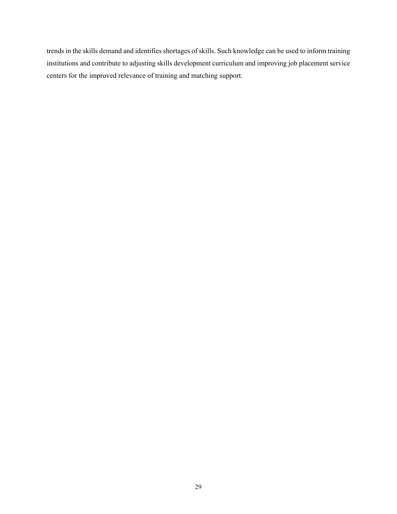trends in the skills demand and identifies shortages of skills. Such knowledge can be used to inform training institutions and contribute to adjusting skills development curriculum and improving job placement service centers for the improved relevance of training and matching support.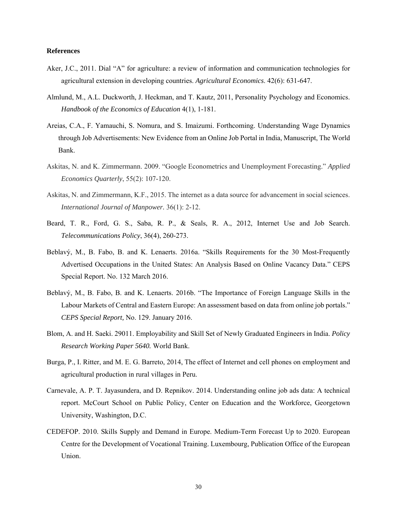#### **References**

- Aker, J.C., 2011. Dial "A" for agriculture: a review of information and communication technologies for agricultural extension in developing countries. *Agricultural Economics*. 42(6): 631-647.
- Almlund, M., A.L. Duckworth, J. Heckman, and T. Kautz, 2011, Personality Psychology and Economics. *Handbook of the Economics of Education* 4(1), 1-181.
- Areias, C.A., F. Yamauchi, S. Nomura, and S. Imaizumi. Forthcoming. Understanding Wage Dynamics through Job Advertisements: New Evidence from an Online Job Portal in India, Manuscript, The World Bank.
- Askitas, N. and K. Zimmermann. 2009. "Google Econometrics and Unemployment Forecasting." *Applied Economics Quarterly*, 55(2): 107-120.
- Askitas, N. and Zimmermann, K.F., 2015. The internet as a data source for advancement in social sciences. *International Journal of Manpower.* 36(1): 2-12.
- Beard, T. R., Ford, G. S., Saba, R. P., & Seals, R. A., 2012, Internet Use and Job Search. *Telecommunications Policy*, 36(4), 260-273.
- Beblavý, M., B. Fabo, B. and K. Lenaerts. 2016a. "Skills Requirements for the 30 Most-Frequently Advertised Occupations in the United States: An Analysis Based on Online Vacancy Data." CEPS Special Report. No. 132 March 2016.
- Beblavý, M., B. Fabo, B. and K. Lenaerts. 2016b. "The Importance of Foreign Language Skills in the Labour Markets of Central and Eastern Europe: An assessment based on data from online job portals." *CEPS Special Report,* No. 129. January 2016.
- Blom, A. and H. Saeki. 29011. Employability and Skill Set of Newly Graduated Engineers in India. *Policy Research Working Paper 5640.* World Bank.
- Burga, P., I. Ritter, and M. E. G. Barreto, 2014, The effect of Internet and cell phones on employment and agricultural production in rural villages in Peru.
- Carnevale, A. P. T. Jayasundera, and D. Repnikov. 2014. Understanding online job ads data: A technical report. McCourt School on Public Policy, Center on Education and the Workforce, Georgetown University, Washington, D.C.
- CEDEFOP. 2010. Skills Supply and Demand in Europe. Medium-Term Forecast Up to 2020. European Centre for the Development of Vocational Training. Luxembourg, Publication Office of the European Union.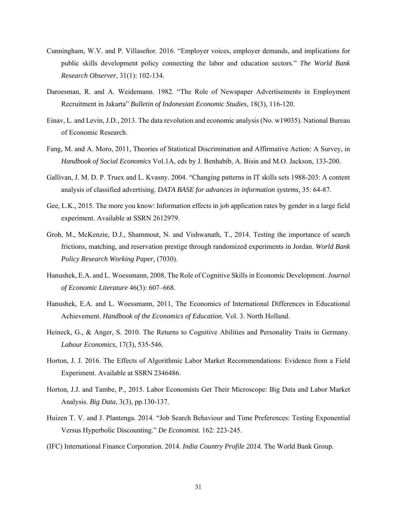- Cunningham, W.V. and P. Villaseñor. 2016. "Employer voices, employer demands, and implications for public skills development policy connecting the labor and education sectors." *The World Bank Research Observer*, 31(1): 102-134.
- Daroesman, R. and A. Weidemann. 1982. "The Role of Newspaper Advertisements in Employment Recruitment in Jakarta" *Bulletin of Indonesian Economic Studies*, 18(3), 116-120.
- Einav, L. and Levin, J.D., 2013. The data revolution and economic analysis (No. w19035). National Bureau of Economic Research.
- Fang, M. and A. Moro, 2011, Theories of Statistical Discrimination and Affirmative Action: A Survey, in *Handbook of Social Economics* Vol.1A, eds by J. Benhabib, A. Bisin and M.O. Jackson, 133-200.
- Gallivan, J. M. D. P. Truex and L. Kvasny. 2004. "Changing patterns in IT skills sets 1988-203: A content analysis of classified advertising. *DATA BASE for advances in information systems,* 35: 64-87.
- Gee, L.K., 2015. The more you know: Information effects in job application rates by gender in a large field experiment. Available at SSRN 2612979.
- Groh, M., McKenzie, D.J., Shammout, N. and Vishwanath, T., 2014. Testing the importance of search frictions, matching, and reservation prestige through randomized experiments in Jordan. *World Bank Policy Research Working Paper,* (7030).
- Hanushek, E.A. and L. Woessmann, 2008, The Role of Cognitive Skills in Economic Development. *Journal of Economic Literature* 46(3): 607–668.
- Hanushek, E.A. and L. Woessmann, 2011, The Economics of International Differences in Educational Achievement. *Handbook of the Economics of Education*. Vol. 3. North Holland.
- Heineck, G., & Anger, S. 2010. The Returns to Cognitive Abilities and Personality Traits in Germany. *Labour Economics,* 17(3), 535-546.
- Horton, J. J. 2016. The Effects of Algorithmic Labor Market Recommendations: Evidence from a Field Experiment. Available at SSRN 2346486.
- Horton, J.J. and Tambe, P., 2015. Labor Economists Get Their Microscope: Big Data and Labor Market Analysis. *Big Data*, 3(3), pp.130-137.
- Huizen T. V. and J. Plantenga. 2014. "Job Search Behaviour and Time Preferences: Testing Exponential Versus Hyperbolic Discounting." *De Economist.* 162: 223-245.
- (IFC) International Finance Corporation. 2014. *India Country Profile 2014.* The World Bank Group.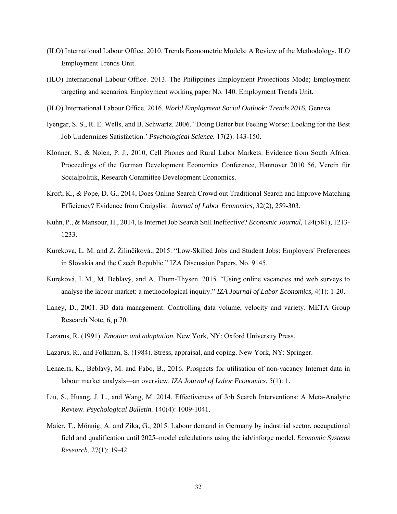- (ILO) International Labour Office. 2010. Trends Econometric Models: A Review of the Methodology. ILO Employment Trends Unit.
- (ILO) International Labour Office. 2013. The Philippines Employment Projections Mode; Employment targeting and scenarios. Employment working paper No. 140. Employment Trends Unit.
- (ILO) International Labour Office. 2016. *World Employment Social Outlook: Trends 2016.* Geneva.
- Iyengar, S. S., R. E. Wells, and B. Schwartz. 2006. "Doing Better but Feeling Worse: Looking for the Best Job Undermines Satisfaction.' *Psychological Science.* 17(2): 143-150.
- Klonner, S., & Nolen, P. J., 2010, Cell Phones and Rural Labor Markets: Evidence from South Africa. Proceedings of the German Development Economics Conference, Hannover 2010 56, Verein für Socialpolitik, Research Committee Development Economics.
- Kroft, K., & Pope, D. G., 2014, Does Online Search Crowd out Traditional Search and Improve Matching Efficiency? Evidence from Craigslist. *Journal of Labor Economics*, 32(2), 259-303.
- Kuhn, P., & Mansour, H., 2014, Is Internet Job Search Still Ineffective? *Economic Journal,* 124(581), 1213- 1233.
- Kurekova, L. M. and Z. Žilinčíková., 2015. "Low-Skilled Jobs and Student Jobs: Employers' Preferences in Slovakia and the Czech Republic." IZA Discussion Papers, No. 9145.
- Kureková, L.M., M. Beblavý, and A. Thum-Thysen. 2015. "Using online vacancies and web surveys to analyse the labour market: a methodological inquiry." *IZA Journal of Labor Economics,* 4(1): 1-20.
- Laney, D., 2001. 3D data management: Controlling data volume, velocity and variety. META Group Research Note, 6, p.70.
- Lazarus, R. (1991). *Emotion and adaptation*. New York, NY: Oxford University Press.
- Lazarus, R., and Folkman, S. (1984). Stress, appraisal, and coping. New York, NY: Springer.
- Lenaerts, K., Beblavý, M. and Fabo, B., 2016. Prospects for utilisation of non-vacancy Internet data in labour market analysis—an overview. *IZA Journal of Labor Economics.* 5(1): 1.
- Liu, S., Huang, J. L., and Wang, M. 2014. Effectiveness of Job Search Interventions: A Meta-Analytic Review. *Psychological Bulletin.* 140(4): 1009-1041.
- Maier, T., Mönnig, A. and Zika, G., 2015. Labour demand in Germany by industrial sector, occupational field and qualification until 2025–model calculations using the iab/inforge model. *Economic Systems Research*, 27(1): 19-42.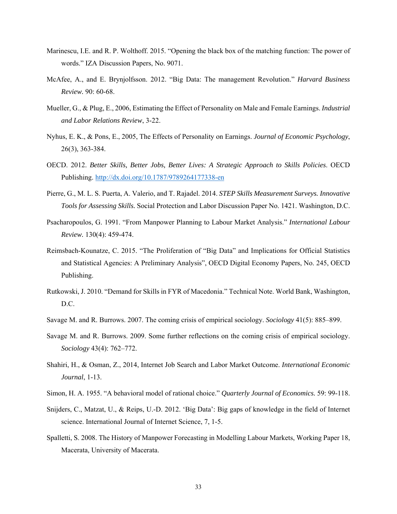- Marinescu, I.E. and R. P. Wolthoff. 2015. "Opening the black box of the matching function: The power of words." IZA Discussion Papers, No. 9071.
- McAfee, A., and E. Brynjolfsson. 2012. "Big Data: The management Revolution." *Harvard Business Review.* 90: 60-68.
- Mueller, G., & Plug, E., 2006, Estimating the Effect of Personality on Male and Female Earnings. *Industrial and Labor Relations Review*, 3-22.
- Nyhus, E. K., & Pons, E., 2005, The Effects of Personality on Earnings. *Journal of Economic Psychology*, 26(3), 363-384.
- OECD. 2012. *Better Skills, Better Jobs, Better Lives: A Strategic Approach to Skills Policies*. OECD Publishing. http://dx.doi.org/10.1787/9789264177338-en
- Pierre, G., M. L. S. Puerta, A. Valerio, and T. Rajadel. 2014. *STEP Skills Measurement Surveys. Innovative Tools for Assessing Skills.* Social Protection and Labor Discussion Paper No. 1421. Washington, D.C.
- Psacharopoulos, G. 1991. "From Manpower Planning to Labour Market Analysis." *International Labour Review.* 130(4): 459-474.
- Reimsbach-Kounatze, C. 2015. "The Proliferation of "Big Data" and Implications for Official Statistics and Statistical Agencies: A Preliminary Analysis", OECD Digital Economy Papers, No. 245, OECD Publishing.
- Rutkowski, J. 2010. "Demand for Skills in FYR of Macedonia." Technical Note. World Bank, Washington, D.C.
- Savage M. and R. Burrows. 2007. The coming crisis of empirical sociology. *Sociology* 41(5): 885–899.
- Savage M. and R. Burrows. 2009. Some further reflections on the coming crisis of empirical sociology. *Sociology* 43(4): 762–772.
- Shahiri, H., & Osman, Z., 2014, Internet Job Search and Labor Market Outcome. *International Economic Journal*, 1-13.
- Simon, H. A. 1955. "A behavioral model of rational choice." *Quarterly Journal of Economics.* 59: 99-118.
- Snijders, C., Matzat, U., & Reips, U.-D. 2012. 'Big Data': Big gaps of knowledge in the field of Internet science. International Journal of Internet Science, 7, 1-5.
- Spalletti, S. 2008. The History of Manpower Forecasting in Modelling Labour Markets, Working Paper 18, Macerata, University of Macerata.